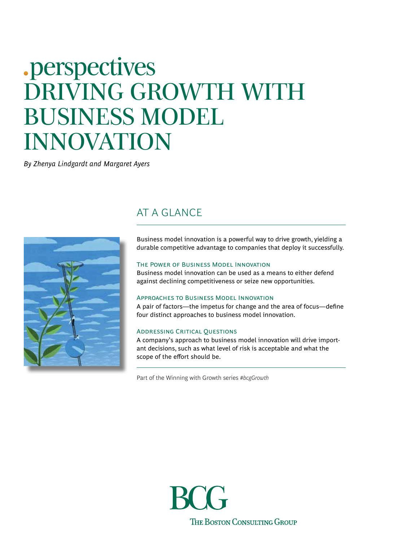# .perspectives DRIVING GROWTH WITH BUSINESS MODEL INNOVATION

*By Zhenya Lindgardt and Margaret Ayers*

## AT A GLANCE



Business model innovation is a powerful way to drive growth, yielding a durable competitive advantage to companies that deploy it successfully.

#### The Power of Business Model Innovation

Business model innovation can be used as a means to either defend against declining competitiveness or seize new opportunities.

#### Approaches to Business Model Innovation

A pair of factors—the impetus for change and the area of focus—define four distinct approaches to business model innovation.

#### Addressing Critical Questions

A company's approach to business model innovation will drive important decisions, such as what level of risk is acceptable and what the scope of the effort should be.

Part of the Winning with Growth series *#bcgGrowth*

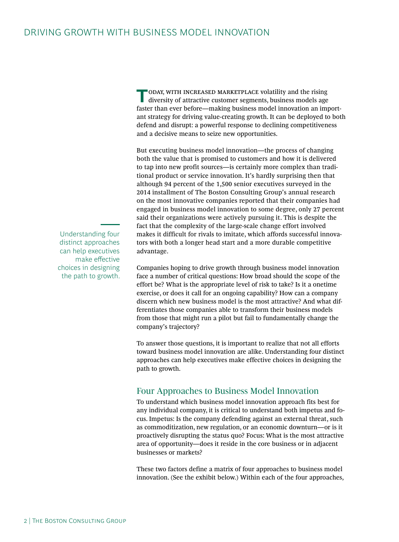**T**oday, with increased marketplace volatility and the rising diversity of attractive customer segments, business models age faster than ever before—making business model innovation an important strategy for driving value-creating growth. It can be deployed to both defend and disrupt: a powerful response to declining competitiveness and a decisive means to seize new opportunities.

But executing business model innovation—the process of changing both the value that is promised to customers and how it is delivered to tap into new profit sources—is certainly more complex than traditional product or service innovation. It's hardly surprising then that although 94 percent of the 1,500 senior executives surveyed in the 2014 installment of The Boston Consulting Group's annual research on the most innovative companies reported that their companies had engaged in business model innovation to some degree, only 27 percent said their organizations were actively pursuing it. This is despite the fact that the complexity of the large-scale change effort involved makes it difficult for rivals to imitate, which affords successful innovators with both a longer head start and a more durable competitive advantage.

Companies hoping to drive growth through business model innovation face a number of critical questions: How broad should the scope of the effort be? What is the appropriate level of risk to take? Is it a onetime exercise, or does it call for an ongoing capability? How can a company discern which new business model is the most attractive? And what differentiates those companies able to transform their business models from those that might run a pilot but fail to fundamentally change the company's trajectory?

To answer those questions, it is important to realize that not all efforts toward business model innovation are alike. Understanding four distinct approaches can help executives make effective choices in designing the path to growth.

## Four Approaches to Business Model Innovation

To understand which business model innovation approach fits best for any individual company, it is critical to understand both impetus and focus. Impetus: Is the company defending against an external threat, such as commoditization, new regulation, or an economic downturn—or is it proactively disrupting the status quo? Focus: What is the most attractive area of opportunity—does it reside in the core business or in adjacent businesses or markets?

These two factors define a matrix of four approaches to business model innovation. (See the exhibit below.) Within each of the four approaches,

Understanding four distinct approaches can help executives make effective choices in designing the path to growth.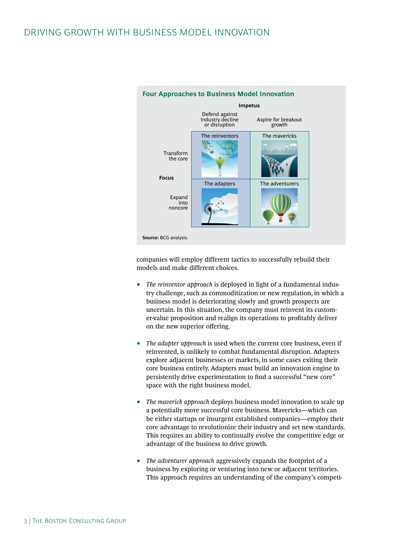

#### **Four Approaches to Business Model Innovation**

companies will employ different tactics to successfully rebuild their models and make different choices.

- *The reinventor approach* is deployed in light of a fundamental industry challenge, such as commoditization or new regulation, in which a business model is deteriorating slowly and growth prospects are uncertain. In this situation, the company must reinvent its customer-value proposition and realign its operations to profitably deliver on the new superior offering.
- *The adapter approach* is used when the current core business, even if reinvented, is unlikely to combat fundamental disruption. Adapters explore adjacent businesses or markets, in some cases exiting their core business entirely. Adapters must build an innovation engine to persistently drive experimentation to find a successful "new core" space with the right business model.
- *The maverick approach* deploys business model innovation to scale up a potentially more successful core business. Mavericks—which can be either startups or insurgent established companies—employ their core advantage to revolutionize their industry and set new standards. This requires an ability to continually evolve the competitive edge or advantage of the business to drive growth.
- *The adventurer approach* aggressively expands the footprint of a business by exploring or venturing into new or adjacent territories. This approach requires an understanding of the company's competi-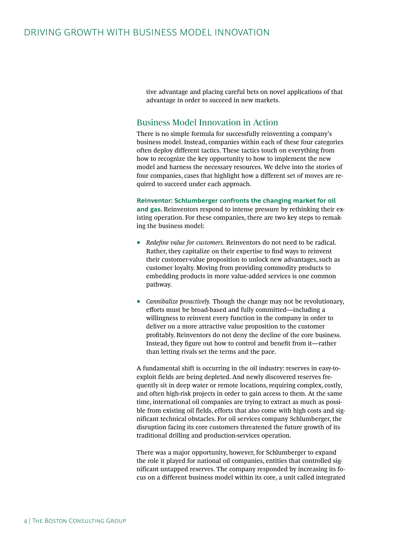tive advantage and placing careful bets on novel applications of that advantage in order to succeed in new markets.

### Business Model Innovation in Action

There is no simple formula for successfully reinventing a company's business model. Instead, companies within each of these four categories often deploy different tactics. These tactics touch on everything from how to recognize the key opportunity to how to implement the new model and harness the necessary resources. We delve into the stories of four companies, cases that highlight how a different set of moves are required to succeed under each approach.

#### **Reinventor: Schlumberger confronts the changing market for oil**

**and gas.** Reinventors respond to intense pressure by rethinking their existing operation. For these companies, there are two key steps to remaking the business model:

- *Redefine value for customers.* Reinventors do not need to be radical. Rather, they capitalize on their expertise to find ways to reinvent their customer-value proposition to unlock new advantages, such as customer loyalty. Moving from providing commodity products to embedding products in more value-added services is one common pathway.
- *Cannibalize proactively.* Though the change may not be revolutionary, efforts must be broad-based and fully committed—including a willingness to reinvent every function in the company in order to deliver on a more attractive value proposition to the customer profitably. Reinventors do not deny the decline of the core business. Instead, they figure out how to control and benefit from it—rather than letting rivals set the terms and the pace.

A fundamental shift is occurring in the oil industry: reserves in easy-toexploit fields are being depleted. And newly discovered reserves frequently sit in deep water or remote locations, requiring complex, costly, and often high-risk projects in order to gain access to them. At the same time, international oil companies are trying to extract as much as possible from existing oil fields, efforts that also come with high costs and significant technical obstacles. For oil services company Schlumberger, the disruption facing its core customers threatened the future growth of its traditional drilling and production-services operation.

There was a major opportunity, however, for Schlumberger to expand the role it played for national oil companies, entities that controlled significant untapped reserves. The company responded by increasing its focus on a different business model within its core, a unit called integrated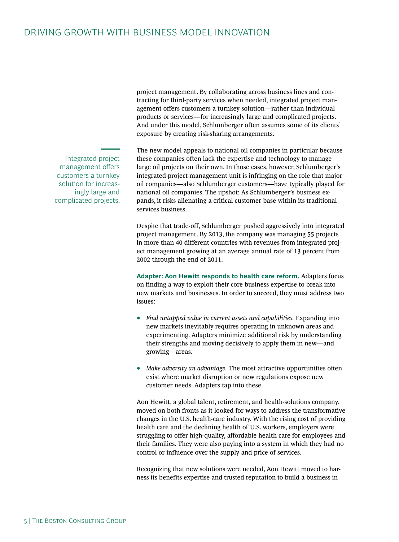project management. By collaborating across business lines and contracting for third-party services when needed, integrated project management offers customers a turnkey solution—rather than individual products or services—for increasingly large and complicated projects. And under this model, Schlumberger often assumes some of its clients' exposure by creating risk-sharing arrangements.

The new model appeals to national oil companies in particular because these companies often lack the expertise and technology to manage large oil projects on their own. In those cases, however, Schlumberger's integrated-project-management unit is infringing on the role that major oil companies—also Schlumberger customers—have typically played for national oil companies. The upshot: As Schlumberger's business expands, it risks alienating a critical customer base within its traditional services business.

Despite that trade-off, Schlumberger pushed aggressively into integrated project management. By 2013, the company was managing 55 projects in more than 40 different countries with revenues from integrated project management growing at an average annual rate of 13 percent from 2002 through the end of 2011.

**Adapter: Aon Hewitt responds to health care reform.** Adapters focus on finding a way to exploit their core business expertise to break into new markets and businesses. In order to succeed, they must address two issues:

- *Find untapped value in current assets and capabilities.* Expanding into new markets inevitably requires operating in unknown areas and experimenting. Adapters minimize additional risk by understanding their strengths and moving decisively to apply them in new—and growing—areas.
- *Make adversity an advantage.* The most attractive opportunities often exist where market disruption or new regulations expose new customer needs. Adapters tap into these.

Aon Hewitt, a global talent, retirement, and health-solutions company, moved on both fronts as it looked for ways to address the transformative changes in the U.S. health-care industry. With the rising cost of providing health care and the declining health of U.S. workers, employers were struggling to offer high-quality, affordable health care for employees and their families. They were also paying into a system in which they had no control or influence over the supply and price of services.

Recognizing that new solutions were needed, Aon Hewitt moved to harness its benefits expertise and trusted reputation to build a business in

Integrated project management offers customers a turnkey solution for increasingly large and complicated projects.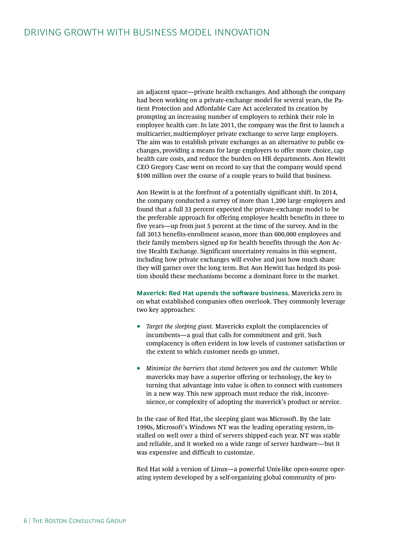an adjacent space—private health exchanges. And although the company had been working on a private-exchange model for several years, the Patient Protection and Affordable Care Act accelerated its creation by prompting an increasing number of employers to rethink their role in employee health care. In late 2011, the company was the first to launch a multicarrier, multiemployer private exchange to serve large employers. The aim was to establish private exchanges as an alternative to public exchanges, providing a means for large employers to offer more choice, cap health care costs, and reduce the burden on HR departments. Aon Hewitt CEO Gregory Case went on record to say that the company would spend \$100 million over the course of a couple years to build that business.

Aon Hewitt is at the forefront of a potentially significant shift. In 2014, the company conducted a survey of more than 1,200 large employers and found that a full 33 percent expected the private-exchange model to be the preferable approach for offering employee health benefits in three to five years—up from just 5 percent at the time of the survey. And in the fall 2013 benefits-enrollment season, more than 600,000 employees and their family members signed up for health benefits through the Aon Active Health Exchange. Significant uncertainty remains in this segment, including how private exchanges will evolve and just how much share they will garner over the long term. But Aon Hewitt has hedged its position should these mechanisms become a dominant force in the market.

**Maverick: Red Hat upends the software business.** Mavericks zero in on what established companies often overlook. They commonly leverage two key approaches:

- *Target the sleeping giant.* Mavericks exploit the complacencies of incumbents—a goal that calls for commitment and grit. Such complacency is often evident in low levels of customer satisfaction or the extent to which customer needs go unmet.
- *Minimize the barriers that stand between you and the customer.* While mavericks may have a superior offering or technology, the key to turning that advantage into value is often to connect with customers in a new way. This new approach must reduce the risk, inconvenience, or complexity of adopting the maverick's product or service.

In the case of Red Hat, the sleeping giant was Microsoft. By the late 1990s, Microsoft's Windows NT was the leading operating system, installed on well over a third of servers shipped each year. NT was stable and reliable, and it worked on a wide range of server hardware—but it was expensive and difficult to customize.

Red Hat sold a version of Linux—a powerful Unix-like open-source operating system developed by a self-organizing global community of pro-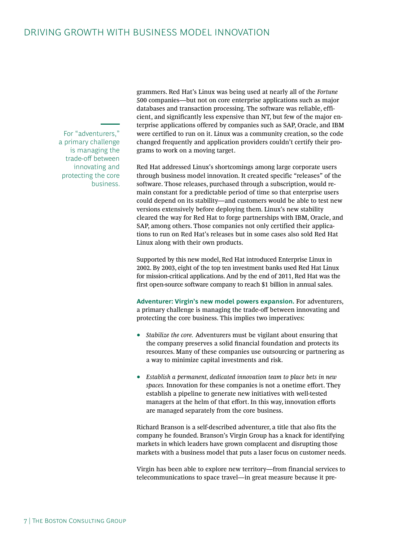For "adventurers," a primary challenge is managing the trade-off between innovating and protecting the core business. grammers. Red Hat's Linux was being used at nearly all of the *Fortune* 500 companies—but not on core enterprise applications such as major databases and transaction processing. The software was reliable, efficient, and significantly less expensive than NT, but few of the major enterprise applications offered by companies such as SAP, Oracle, and IBM were certified to run on it. Linux was a community creation, so the code changed frequently and application providers couldn't certify their programs to work on a moving target.

Red Hat addressed Linux's shortcomings among large corporate users through business model innovation. It created specific "releases" of the software. Those releases, purchased through a subscription, would remain constant for a predictable period of time so that enterprise users could depend on its stability—and customers would be able to test new versions extensively before deploying them. Linux's new stability cleared the way for Red Hat to forge partnerships with IBM, Oracle, and SAP, among others. Those companies not only certified their applications to run on Red Hat's releases but in some cases also sold Red Hat Linux along with their own products.

Supported by this new model, Red Hat introduced Enterprise Linux in 2002. By 2003, eight of the top ten investment banks used Red Hat Linux for mission-critical applications. And by the end of 2011, Red Hat was the first open-source software company to reach \$1 billion in annual sales.

**Adventurer: Virgin's new model powers expansion.** For adventurers, a primary challenge is managing the trade-off between innovating and protecting the core business. This implies two imperatives:

- *Stabilize the core.* Adventurers must be vigilant about ensuring that the company preserves a solid financial foundation and protects its resources. Many of these companies use outsourcing or partnering as a way to minimize capital investments and risk.
- *Establish a permanent, dedicated innovation team to place bets in new spaces.* Innovation for these companies is not a onetime effort. They establish a pipeline to generate new initiatives with well-tested managers at the helm of that effort. In this way, innovation efforts are managed separately from the core business.

Richard Branson is a self-described adventurer, a title that also fits the company he founded. Branson's Virgin Group has a knack for identifying markets in which leaders have grown complacent and disrupting those markets with a business model that puts a laser focus on customer needs.

Virgin has been able to explore new territory—from financial services to telecommunications to space travel—in great measure because it pre-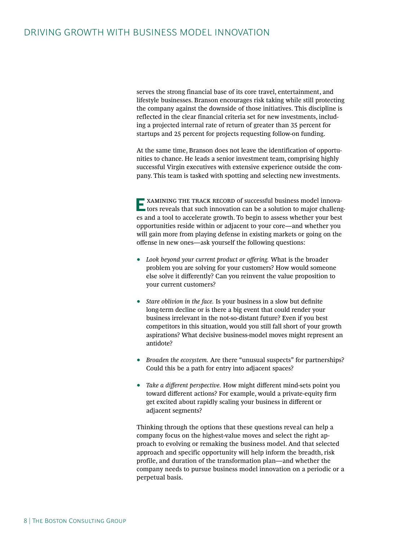serves the strong financial base of its core travel, entertainment, and lifestyle businesses. Branson encourages risk taking while still protecting the company against the downside of those initiatives. This discipline is reflected in the clear financial criteria set for new investments, including a projected internal rate of return of greater than 35 percent for startups and 25 percent for projects requesting follow-on funding.

At the same time, Branson does not leave the identification of opportunities to chance. He leads a senior investment team, comprising highly successful Virgin executives with extensive experience outside the company. This team is tasked with spotting and selecting new investments.

**E**XAMINING THE TRACK RECORD of successful business model innovations reveals that such innovation can be a solution to major challenges and a tool to accelerate growth. To begin to assess whether your best opportunities reside within or adjacent to your core—and whether you will gain more from playing defense in existing markets or going on the offense in new ones—ask yourself the following questions:

- *Look beyond your current product or offering.* What is the broader problem you are solving for your customers? How would someone else solve it differently? Can you reinvent the value proposition to your current customers?
- *Stare oblivion in the face.* Is your business in a slow but definite long-term decline or is there a big event that could render your business irrelevant in the not-so-distant future? Even if you best competitors in this situation, would you still fall short of your growth aspirations? What decisive business-model moves might represent an antidote?
- *Broaden the ecosystem.* Are there "unusual suspects" for partnerships? Could this be a path for entry into adjacent spaces?
- *Take a different perspective.* How might different mind-sets point you toward different actions? For example, would a private-equity firm get excited about rapidly scaling your business in different or adjacent segments?

Thinking through the options that these questions reveal can help a company focus on the highest-value moves and select the right approach to evolving or remaking the business model. And that selected approach and specific opportunity will help inform the breadth, risk profile, and duration of the transformation plan—and whether the company needs to pursue business model innovation on a periodic or a perpetual basis.